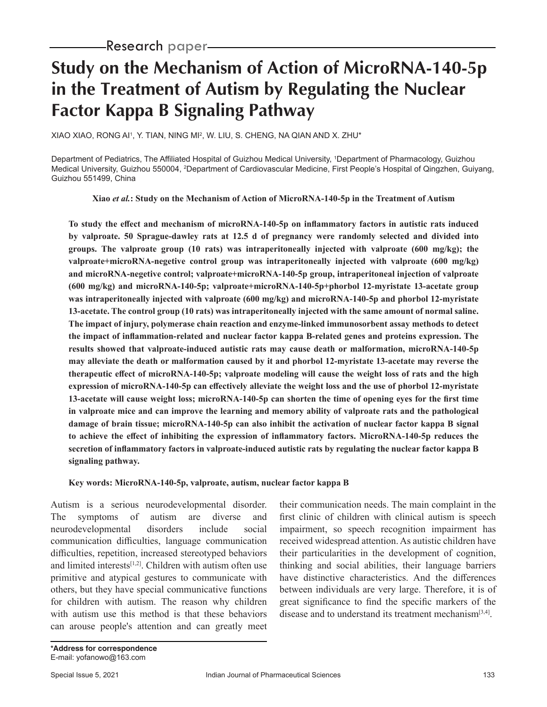# **Study on the Mechanism of Action of MicroRNA-140-5p in the Treatment of Autism by Regulating the Nuclear Factor Kappa B Signaling Pathway**

XIAO XIAO, RONG AI', Y. TIAN, NING MI<del>'</del>, W. LIU, S. CHENG, NA QIAN AND X. ZHU\*

Department of Pediatrics, The Affiliated Hospital of Guizhou Medical University, <sup>1</sup> Department of Pharmacology, Guizhou Medical University, Guizhou 550004, <sup>2</sup>Department of Cardiovascular Medicine, First People's Hospital of Qingzhen, Guiyang, Guizhou 551499, China

**Xiao** *et al.***: Study on the Mechanism of Action of MicroRNA-140-5p in the Treatment of Autism**

**To study the effect and mechanism of microRNA-140-5p on inflammatory factors in autistic rats induced by valproate. 50 Sprague-dawley rats at 12.5 d of pregnancy were randomly selected and divided into groups. The valproate group (10 rats) was intraperitoneally injected with valproate (600 mg/kg); the valproate+microRNA-negetive control group was intraperitoneally injected with valproate (600 mg/kg) and microRNA-negetive control; valproate+microRNA-140-5p group, intraperitoneal injection of valproate (600 mg/kg) and microRNA-140-5p; valproate+microRNA-140-5p+phorbol 12-myristate 13-acetate group was intraperitoneally injected with valproate (600 mg/kg) and microRNA-140-5p and phorbol 12-myristate 13-acetate. The control group (10 rats) was intraperitoneally injected with the same amount of normal saline. The impact of injury, polymerase chain reaction and enzyme-linked immunosorbent assay methods to detect the impact of inflammation-related and nuclear factor kappa B-related genes and proteins expression. The results showed that valproate-induced autistic rats may cause death or malformation, microRNA-140-5p may alleviate the death or malformation caused by it and phorbol 12-myristate 13-acetate may reverse the therapeutic effect of microRNA-140-5p; valproate modeling will cause the weight loss of rats and the high expression of microRNA-140-5p can effectively alleviate the weight loss and the use of phorbol 12-myristate 13-acetate will cause weight loss; microRNA-140-5p can shorten the time of opening eyes for the first time in valproate mice and can improve the learning and memory ability of valproate rats and the pathological damage of brain tissue; microRNA-140-5p can also inhibit the activation of nuclear factor kappa B signal to achieve the effect of inhibiting the expression of inflammatory factors. MicroRNA-140-5p reduces the secretion of inflammatory factors in valproate-induced autistic rats by regulating the nuclear factor kappa B signaling pathway.**

#### **Key words: MicroRNA-140-5p, valproate, autism, nuclear factor kappa B**

Autism is a serious neurodevelopmental disorder. The symptoms of autism are diverse and neurodevelopmental disorders include social communication difficulties, language communication difficulties, repetition, increased stereotyped behaviors and limited interests<sup>[1,2]</sup>. Children with autism often use primitive and atypical gestures to communicate with others, but they have special communicative functions for children with autism. The reason why children with autism use this method is that these behaviors can arouse people's attention and can greatly meet

their communication needs. The main complaint in the first clinic of children with clinical autism is speech impairment, so speech recognition impairment has received widespread attention. As autistic children have their particularities in the development of cognition, thinking and social abilities, their language barriers have distinctive characteristics. And the differences between individuals are very large. Therefore, it is of great significance to find the specific markers of the disease and to understand its treatment mechanism<sup>[3,4]</sup>.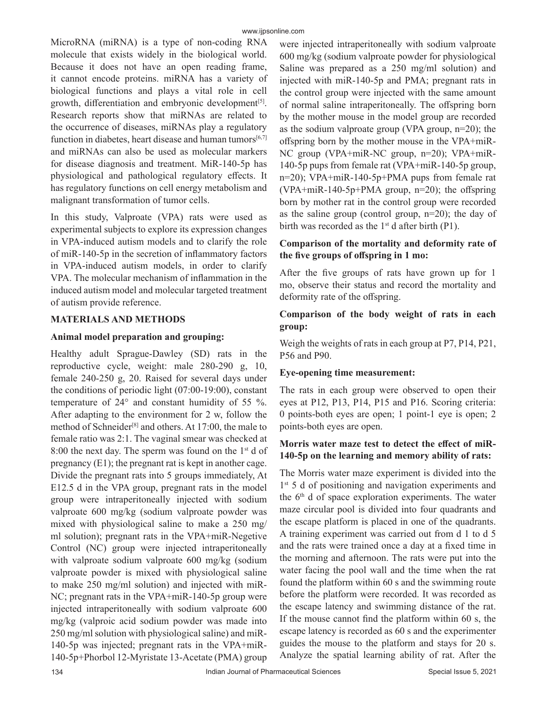MicroRNA (miRNA) is a type of non-coding RNA molecule that exists widely in the biological world. Because it does not have an open reading frame, it cannot encode proteins. miRNA has a variety of biological functions and plays a vital role in cell growth, differentiation and embryonic development<sup>[5]</sup>. Research reports show that miRNAs are related to the occurrence of diseases, miRNAs play a regulatory function in diabetes, heart disease and human tumors $[6,7]$ and miRNAs can also be used as molecular markers for disease diagnosis and treatment. MiR-140-5p has physiological and pathological regulatory effects. It has regulatory functions on cell energy metabolism and malignant transformation of tumor cells.

In this study, Valproate (VPA) rats were used as experimental subjects to explore its expression changes in VPA-induced autism models and to clarify the role of miR-140-5p in the secretion of inflammatory factors in VPA-induced autism models, in order to clarify VPA. The molecular mechanism of inflammation in the induced autism model and molecular targeted treatment of autism provide reference.

## **MATERIALS AND METHODS**

### **Animal model preparation and grouping:**

Healthy adult Sprague-Dawley (SD) rats in the reproductive cycle, weight: male 280-290 g, 10, female 240-250 g, 20. Raised for several days under the conditions of periodic light (07:00-19:00), constant temperature of 24° and constant humidity of 55 %. After adapting to the environment for 2 w, follow the method of Schneider[8] and others. At 17:00, the male to female ratio was 2:1. The vaginal smear was checked at 8:00 the next day. The sperm was found on the  $1<sup>st</sup>$  d of pregnancy (E1); the pregnant rat is kept in another cage. Divide the pregnant rats into 5 groups immediately, At E12.5 d in the VPA group, pregnant rats in the model group were intraperitoneally injected with sodium valproate 600 mg/kg (sodium valproate powder was mixed with physiological saline to make a 250 mg/ ml solution); pregnant rats in the VPA+miR-Negetive Control (NC) group were injected intraperitoneally with valproate sodium valproate 600 mg/kg (sodium valproate powder is mixed with physiological saline to make 250 mg/ml solution) and injected with miR-NC; pregnant rats in the VPA+miR-140-5p group were injected intraperitoneally with sodium valproate 600 mg/kg (valproic acid sodium powder was made into 250 mg/ml solution with physiological saline) and miR-140-5p was injected; pregnant rats in the VPA+miR-140-5p+Phorbol 12-Myristate 13-Acetate (PMA) group

were injected intraperitoneally with sodium valproate 600 mg/kg (sodium valproate powder for physiological Saline was prepared as a 250 mg/ml solution) and injected with miR-140-5p and PMA; pregnant rats in the control group were injected with the same amount of normal saline intraperitoneally. The offspring born by the mother mouse in the model group are recorded as the sodium valproate group (VPA group, n=20); the offspring born by the mother mouse in the VPA+miR-NC group (VPA+miR-NC group, n=20); VPA+miR-140-5p pups from female rat (VPA+miR-140-5p group, n=20); VPA+miR-140-5p+PMA pups from female rat (VPA+miR-140-5p+PMA group, n=20); the offspring born by mother rat in the control group were recorded as the saline group (control group, n=20); the day of birth was recorded as the  $1<sup>st</sup>$  d after birth (P1).

# **Comparison of the mortality and deformity rate of the five groups of offspring in 1 mo:**

After the five groups of rats have grown up for 1 mo, observe their status and record the mortality and deformity rate of the offspring.

## **Comparison of the body weight of rats in each group:**

Weigh the weights of rats in each group at P7, P14, P21, P56 and P90.

### **Eye-opening time measurement:**

The rats in each group were observed to open their eyes at P12, P13, P14, P15 and P16. Scoring criteria: 0 points-both eyes are open; 1 point-1 eye is open; 2 points-both eyes are open.

# **Morris water maze test to detect the effect of miR-140-5p on the learning and memory ability of rats:**

The Morris water maze experiment is divided into the 1<sup>st</sup> 5 d of positioning and navigation experiments and the  $6<sup>th</sup>$  d of space exploration experiments. The water maze circular pool is divided into four quadrants and the escape platform is placed in one of the quadrants. A training experiment was carried out from d 1 to d 5 and the rats were trained once a day at a fixed time in the morning and afternoon. The rats were put into the water facing the pool wall and the time when the rat found the platform within 60 s and the swimming route before the platform were recorded. It was recorded as the escape latency and swimming distance of the rat. If the mouse cannot find the platform within 60 s, the escape latency is recorded as 60 s and the experimenter guides the mouse to the platform and stays for 20 s. Analyze the spatial learning ability of rat. After the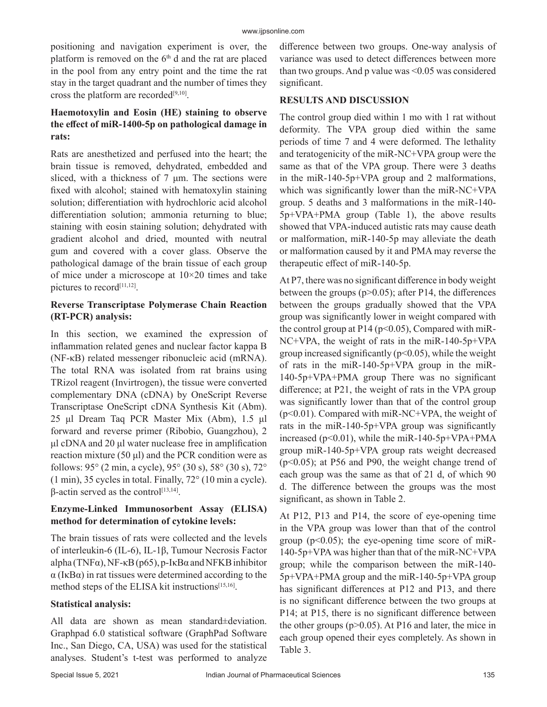positioning and navigation experiment is over, the platform is removed on the  $6<sup>th</sup>$  d and the rat are placed in the pool from any entry point and the time the rat stay in the target quadrant and the number of times they cross the platform are recorded<sup>[9,10]</sup>.

# **Haemotoxylin and Eosin (HE) staining to observe the effect of miR-1400-5p on pathological damage in rats:**

Rats are anesthetized and perfused into the heart; the brain tissue is removed, dehydrated, embedded and sliced, with a thickness of 7 μm. The sections were fixed with alcohol; stained with hematoxylin staining solution; differentiation with hydrochloric acid alcohol differentiation solution; ammonia returning to blue; staining with eosin staining solution; dehydrated with gradient alcohol and dried, mounted with neutral gum and covered with a cover glass. Observe the pathological damage of the brain tissue of each group of mice under a microscope at 10×20 times and take pictures to record<sup>[11,12]</sup>.

# **Reverse Transcriptase Polymerase Chain Reaction (RT-PCR) analysis:**

In this section, we examined the expression of inflammation related genes and nuclear factor kappa B (NF-κB) related messenger ribonucleic acid (mRNA). The total RNA was isolated from rat brains using TRizol reagent (Invirtrogen), the tissue were converted complementary DNA (cDNA) by OneScript Reverse Transcriptase OneScript cDNA Synthesis Kit (Abm). 25 μl Dream Taq PCR Master Mix (Abm), 1.5 μl forward and reverse primer (Ribobio, Guangzhou), 2 μl cDNA and 20 μl water nuclease free in amplification reaction mixture (50  $\mu$ l) and the PCR condition were as follows: 95° (2 min, a cycle), 95° (30 s), 58° (30 s), 72° (1 min), 35 cycles in total. Finally, 72° (10 min a cycle).  $β$ -actin served as the control<sup>[13,14]</sup>.

# **Enzyme-Linked Immunosorbent Assay (ELISA) method for determination of cytokine levels:**

The brain tissues of rats were collected and the levels of interleukin-6 (IL-6), IL-1β, Tumour Necrosis Factor alpha (TNF $\alpha$ ), NF- $\kappa$ B (p65), p-I $\kappa$ B $\alpha$  and NFKB inhibitor  $\alpha$  (I $\kappa$ B $\alpha$ ) in rat tissues were determined according to the method steps of the ELISA kit instructions<sup>[15,16]</sup>.

### **Statistical analysis:**

All data are shown as mean standard±deviation. Graphpad 6.0 statistical software (GraphPad Software Inc., San Diego, CA, USA) was used for the statistical analyses. Student's t-test was performed to analyze difference between two groups. One-way analysis of variance was used to detect differences between more than two groups. And p value was  $\leq 0.05$  was considered significant.

## **RESULTS AND DISCUSSION**

The control group died within 1 mo with 1 rat without deformity. The VPA group died within the same periods of time 7 and 4 were deformed. The lethality and teratogenicity of the miR-NC+VPA group were the same as that of the VPA group. There were 3 deaths in the miR-140-5p+VPA group and 2 malformations, which was significantly lower than the miR-NC+VPA group. 5 deaths and 3 malformations in the miR-140- 5p+VPA+PMA group (Table 1), the above results showed that VPA-induced autistic rats may cause death or malformation, miR-140-5p may alleviate the death or malformation caused by it and PMA may reverse the therapeutic effect of miR-140-5p.

At P7, there was no significant difference in body weight between the groups ( $p > 0.05$ ); after P14, the differences between the groups gradually showed that the VPA group was significantly lower in weight compared with the control group at  $P14 (p<0.05)$ , Compared with miR-NC+VPA, the weight of rats in the miR-140-5p+VPA group increased significantly ( $p<0.05$ ), while the weight of rats in the miR-140-5p+VPA group in the miR-140-5p+VPA+PMA group There was no significant difference; at P21, the weight of rats in the VPA group was significantly lower than that of the control group  $(p<0.01)$ . Compared with miR-NC+VPA, the weight of rats in the miR-140-5p+VPA group was significantly increased (p<0.01), while the miR-140-5p+VPA+PMA group miR-140-5p+VPA group rats weight decreased (p<0.05); at P56 and P90, the weight change trend of each group was the same as that of 21 d, of which 90 d. The difference between the groups was the most significant, as shown in Table 2.

At P12, P13 and P14, the score of eye-opening time in the VPA group was lower than that of the control group ( $p<0.05$ ); the eye-opening time score of miR-140-5p+VPA was higher than that of the miR-NC+VPA group; while the comparison between the miR-140- 5p+VPA+PMA group and the miR-140-5p+VPA group has significant differences at P12 and P13, and there is no significant difference between the two groups at P14; at P15, there is no significant difference between the other groups  $(p>0.05)$ . At P16 and later, the mice in each group opened their eyes completely. As shown in Table 3.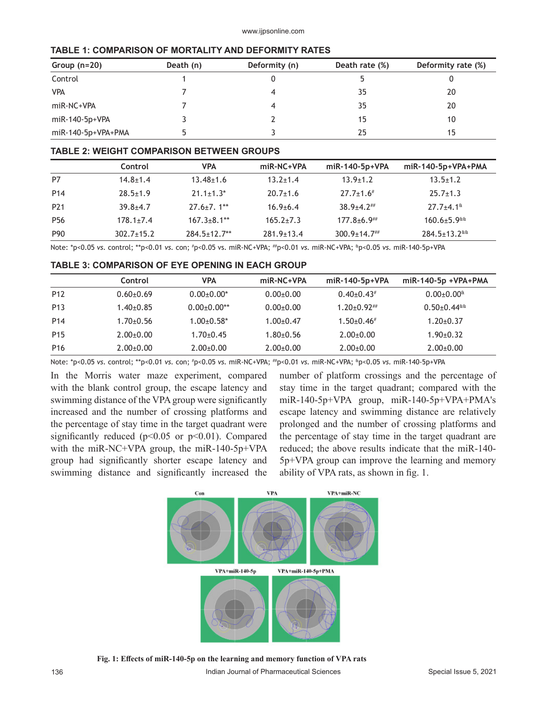|  |  |  | TABLE 1: COMPARISON OF MORTALITY AND DEFORMITY RATES |  |  |  |
|--|--|--|------------------------------------------------------|--|--|--|
|  |  |  |                                                      |  |  |  |

| Group $(n=20)$     | Death (n) | Deformity (n) | Death rate (%) | Deformity rate (%) |
|--------------------|-----------|---------------|----------------|--------------------|
| Control            |           |               |                |                    |
| <b>VPA</b>         |           |               | 35             | 20                 |
| $miR-NC+VPA$       |           |               | 35             | 20                 |
| $miR-140-5p+VPA$   |           |               | 15             | 10                 |
| miR-140-5p+VPA+PMA |           |               | 25             | 15                 |

#### **TABLE 2: WEIGHT COMPARISON BETWEEN GROUPS**

|                 | Control          | <b>VPA</b>         | miR-NC+VPA       | miR-140-5p+VPA   | $miR-140-5p+VPA+PMA$                   |
|-----------------|------------------|--------------------|------------------|------------------|----------------------------------------|
| P7              | $14.8 \pm 1.4$   | $13.48 \pm 1.6$    | $13.2 \pm 1.4$   | $13.9 \pm 1.2$   | $13.5 \pm 1.2$                         |
| P <sub>14</sub> | $28.5 \pm 1.9$   | $21.1 \pm 1.3^*$   | $20.7 \pm 1.6$   | $27.7 \pm 1.6$   | $25.7 \pm 1.3$                         |
| P <sub>21</sub> | $39.8 + 4.7$     | $27.6 \pm 7.1$ **  | $16.9 + 6.4$     | $38.9 + 4.2$     | $27.7 + 4.1^{\text{ft}}$               |
| P <sub>56</sub> | $178.1 \pm 7.4$  | $167.3 \pm 8.1$ ** | $165.2 \pm 7.3$  | $177.8 + 6.9$    | $160.6 \pm 5.9$ <sup>tt</sup>          |
| P90             | $302.7 \pm 15.2$ | $284.5 \pm 12.7**$ | $281.9 \pm 13.4$ | $300.9 \pm 14.7$ | $284.5 \pm 13.2$ <sup>&amp;&amp;</sup> |

Note: \*p<0.05 *vs.* control; \*\*p<0.01 *vs.* con; # p<0.05 vs. miR-NC+VPA; ##p<0.01 *vs.* miR-NC+VPA; &p<0.05 *vs.* miR-140-5p+VPA

#### **TABLE 3: COMPARISON OF EYE OPENING IN EACH GROUP**

|                 | Control       | <b>VPA</b>    | $miR-NC+VPA$  | $miR-140-5p+VPA$         | $miR-140-5p + VPA+PMA$                |
|-----------------|---------------|---------------|---------------|--------------------------|---------------------------------------|
| P <sub>12</sub> | $0.60 + 0.69$ | $0.00+0.00*$  | $0.00+0.00$   | $0.40+0.43*$             | $0.00 + 0.00$ <sup>&amp;</sup>        |
| P <sub>13</sub> | $1.40+0.85$   | $0.00+0.00**$ | $0.00+0.00$   | $1.20 \pm 0.92$ ##       | $0.50 \pm 0.44$ <sup>&amp;&amp;</sup> |
| P <sub>14</sub> | $1.70 + 0.56$ | $1.00+0.58*$  | $1.00+0.47$   | $1.50+0.46$ <sup>#</sup> | $1.20+0.37$                           |
| P <sub>15</sub> | $2.00+0.00$   | $1.70+0.45$   | $1.80 + 0.56$ | $2.00+0.00$              | $1.90+0.32$                           |
| P <sub>16</sub> | $2.00+0.00$   | $2.00+0.00$   | $2.00+0.00$   | $2.00+0.00$              | $2.00+0.00$                           |

Note: \*p<0.05 *vs.* control; \*\*p<0.01 *vs.* con; # p<0.05 *vs.* miR-NC+VPA; ##p<0.01 *vs.* miR-NC+VPA; &p<0.05 *vs.* miR-140-5p+VPA

In the Morris water maze experiment, compared with the blank control group, the escape latency and swimming distance of the VPA group were significantly increased and the number of crossing platforms and the percentage of stay time in the target quadrant were significantly reduced ( $p<0.05$  or  $p<0.01$ ). Compared with the miR-NC+VPA group, the miR-140-5p+VPA group had significantly shorter escape latency and swimming distance and significantly increased the number of platform crossings and the percentage of stay time in the target quadrant; compared with the miR-140-5p+VPA group, miR-140-5p+VPA+PMA's escape latency and swimming distance are relatively prolonged and the number of crossing platforms and the percentage of stay time in the target quadrant are reduced; the above results indicate that the miR-140- 5p+VPA group can improve the learning and memory ability of VPA rats, as shown in fig. 1.



**Fig. 1: Effects of miR-140-5p on the learning and memory function of VPA rats**

136 Indian Journal of Pharmaceutical Sciences Special Issue 5, 2021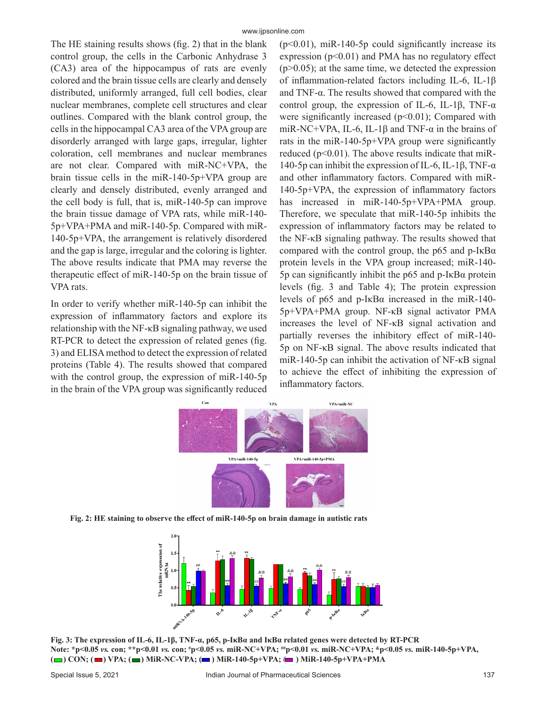The HE staining results shows (fig. 2) that in the blank control group, the cells in the Carbonic Anhydrase 3 (CA3) area of the hippocampus of rats are evenly colored and the brain tissue cells are clearly and densely distributed, uniformly arranged, full cell bodies, clear nuclear membranes, complete cell structures and clear outlines. Compared with the blank control group, the cells in the hippocampal CA3 area of the VPA group are disorderly arranged with large gaps, irregular, lighter coloration, cell membranes and nuclear membranes are not clear. Compared with miR-NC+VPA, the brain tissue cells in the miR-140-5p+VPA group are clearly and densely distributed, evenly arranged and the cell body is full, that is, miR-140-5p can improve the brain tissue damage of VPA rats, while miR-140- 5p+VPA+PMA and miR-140-5p. Compared with miR-140-5p+VPA, the arrangement is relatively disordered and the gap is large, irregular and the coloring is lighter. The above results indicate that PMA may reverse the therapeutic effect of miR-140-5p on the brain tissue of VPA rats.

In order to verify whether miR-140-5p can inhibit the expression of inflammatory factors and explore its relationship with the NF-κB signaling pathway, we used RT-PCR to detect the expression of related genes (fig. 3) and ELISA method to detect the expression of related proteins (Table 4). The results showed that compared with the control group, the expression of miR-140-5p in the brain of the VPA group was significantly reduced  $(p<0.01)$ , miR-140-5p could significantly increase its expression  $(p<0.01)$  and PMA has no regulatory effect  $(p>0.05)$ ; at the same time, we detected the expression of inflammation-related factors including IL-6, IL-1β and TNF-α. The results showed that compared with the control group, the expression of IL-6, IL-1β, TNF- $\alpha$ were significantly increased  $(p<0.01)$ ; Compared with miR-NC+VPA, IL-6, IL-1 $\beta$  and TNF- $\alpha$  in the brains of rats in the miR-140-5p+VPA group were significantly reduced ( $p<0.01$ ). The above results indicate that miR-140-5p can inhibit the expression of IL-6, IL-1β, TNF- $\alpha$ and other inflammatory factors. Compared with miR-140-5p+VPA, the expression of inflammatory factors has increased in miR-140-5p+VPA+PMA group. Therefore, we speculate that miR-140-5p inhibits the expression of inflammatory factors may be related to the NF-κB signaling pathway. The results showed that compared with the control group, the p65 and p- $I \kappa B\alpha$ protein levels in the VPA group increased; miR-140- 5p can significantly inhibit the p65 and p-IκBα protein levels (fig. 3 and Table 4); The protein expression levels of p65 and p-IκBα increased in the miR-140- 5p+VPA+PMA group. NF-κB signal activator PMA increases the level of NF-κB signal activation and partially reverses the inhibitory effect of miR-140- 5p on NF-κB signal. The above results indicated that miR-140-5p can inhibit the activation of NF-κB signal to achieve the effect of inhibiting the expression of inflammatory factors.



**Fig. 2: HE staining to observe the effect of miR-140-5p on brain damage in autistic rats**



**Fig. 3: The expression of IL-6, IL-1β, TNF-α, p65, p-IκBα and IκBα related genes were detected by RT-PCR Note: \*p<0.05** *vs.* **con; \*\*p<0.01** *vs.* **con; # p<0.05** *vs.* **miR-NC+VPA; ##p<0.01** *vs.* **miR-NC+VPA; &p<0.05** *vs.* **miR-140-5p+VPA,**   $(\blacksquare)$  CON;  $(\blacksquare)$  VPA;  $(\blacksquare)$  MiR-NC-VPA;  $(\blacksquare)$  MiR-140-5p+VPA;  $(\blacksquare)$  MiR-140-5p+VPA+PMA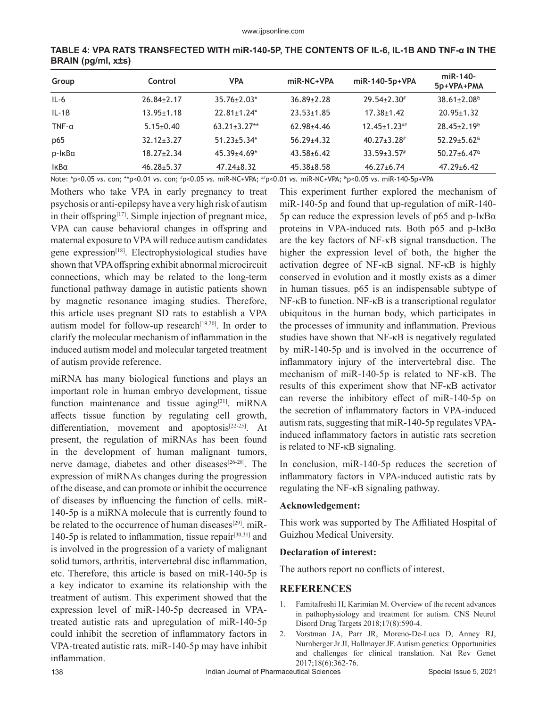| Group            | Control          | <b>VPA</b>         | miR-NC+VPA       | miR-140-5p+VPA      | $miR-140-$<br>5p+VPA+PMA                          |  |
|------------------|------------------|--------------------|------------------|---------------------|---------------------------------------------------|--|
| $IL-6$           | $26.84 \pm 2.17$ | $35.76 \pm 2.03*$  | $36.89 \pm 2.28$ | $29.54 \pm 2.30$ #  | $38.61 \pm 2.08$ <sup>tt</sup>                    |  |
| $IL-1B$          | $13.95 \pm 1.18$ | $22.81 \pm 1.24$ * | $23.53 \pm 1.85$ | $17.38 \pm 1.42$    | $20.95 \pm 1.32$                                  |  |
| $TNF$ - $\alpha$ | $5.15 \pm 0.40$  | $63.21 \pm 3.27**$ | $62.98 + 4.46$   | $12.45 \pm 1.23$ ## | $28.45 \pm 2.19$ <sup>tt</sup>                    |  |
| p65              | $32.12 \pm 3.27$ | $51.23 \pm 5.34*$  | $56.29 + 4.32$   | $40.27 \pm 3.28$ #  | $52.29 + 5.62$ <sup><math>\text{a}</math></sup>   |  |
| p-IkBa           | $18.27 \pm 2.34$ | $45.39{\pm}4.69*$  | $43.58 + 6.42$   | $33.59 \pm 3.57$    | $50.27 \pm 6.47$ <sup><math>\text{a}</math></sup> |  |
| ΙκΒα             | $46.28 \pm 5.37$ | $47.24 \pm 8.32$   | $45.38 + 8.58$   | $46.27 \pm 6.74$    | $47.29 \pm 6.42$                                  |  |

**TABLE 4: VPA RATS TRANSFECTED WITH miR-140-5P, THE CONTENTS OF IL-6, IL-1Β AND TNF-α IN THE BRAIN (pg/ml, x±s)**

Note: \*p<0.05 *vs.* con; \*\*p<0.01 *vs.* con; # p<0.05 *vs.* miR-NC+VPA; ##p<0.01 *vs.* miR-NC+VPA; &p<0.05 *vs.* miR-140-5p+VPA

Mothers who take VPA in early pregnancy to treat psychosis or anti-epilepsy have a very high risk of autism in their offspring<sup>[17]</sup>. Simple injection of pregnant mice, VPA can cause behavioral changes in offspring and maternal exposure to VPA will reduce autism candidates gene expression<sup>[18]</sup>. Electrophysiological studies have shown that VPA offspring exhibit abnormal microcircuit connections, which may be related to the long-term functional pathway damage in autistic patients shown by magnetic resonance imaging studies. Therefore, this article uses pregnant SD rats to establish a VPA autism model for follow-up research $[19,20]$ . In order to clarify the molecular mechanism of inflammation in the induced autism model and molecular targeted treatment of autism provide reference.

miRNA has many biological functions and plays an important role in human embryo development, tissue function maintenance and tissue aging $[21]$ . miRNA affects tissue function by regulating cell growth, differentiation, movement and apoptosis<sup>[22-25]</sup>. At present, the regulation of miRNAs has been found in the development of human malignant tumors, nerve damage, diabetes and other diseases $[26-28]$ . The expression of miRNAs changes during the progression of the disease, and can promote or inhibit the occurrence of diseases by influencing the function of cells. miR-140-5p is a miRNA molecule that is currently found to be related to the occurrence of human diseases<sup>[29]</sup>. miR-140-5p is related to inflammation, tissue repair $[30,31]$  and is involved in the progression of a variety of malignant solid tumors, arthritis, intervertebral disc inflammation, etc. Therefore, this article is based on miR-140-5p is a key indicator to examine its relationship with the treatment of autism. This experiment showed that the expression level of miR-140-5p decreased in VPAtreated autistic rats and upregulation of miR-140-5p could inhibit the secretion of inflammatory factors in VPA-treated autistic rats. miR-140-5p may have inhibit inflammation.

This experiment further explored the mechanism of miR-140-5p and found that up-regulation of miR-140- 5p can reduce the expression levels of  $p65$  and  $p$ -I $\kappa$ B $\alpha$ proteins in VPA-induced rats. Both p65 and p-IκBα are the key factors of NF-κB signal transduction. The higher the expression level of both, the higher the activation degree of NF-κB signal. NF-κB is highly conserved in evolution and it mostly exists as a dimer in human tissues. p65 is an indispensable subtype of NF-κB to function. NF-κB is a transcriptional regulator ubiquitous in the human body, which participates in the processes of immunity and inflammation. Previous studies have shown that NF-κB is negatively regulated by miR-140-5p and is involved in the occurrence of inflammatory injury of the intervertebral disc. The mechanism of miR-140-5p is related to NF-κB. The results of this experiment show that NF-κB activator can reverse the inhibitory effect of miR-140-5p on the secretion of inflammatory factors in VPA-induced autism rats, suggesting that miR-140-5p regulates VPAinduced inflammatory factors in autistic rats secretion is related to NF-κB signaling.

In conclusion, miR-140-5p reduces the secretion of inflammatory factors in VPA-induced autistic rats by regulating the NF-κB signaling pathway.

#### **Acknowledgement:**

This work was supported by The Affiliated Hospital of Guizhou Medical University.

#### **Declaration of interest:**

The authors report no conflicts of interest.

### **REFERENCES**

- 1. Famitafreshi H, Karimian M. Overview of the recent advances in pathophysiology and treatment for autism. CNS Neurol Disord Drug Targets 2018;17(8):590-4.
- 2. Vorstman JA, Parr JR, Moreno-De-Luca D, Anney RJ, Nurnberger Jr JI, Hallmayer JF. Autism genetics: Opportunities and challenges for clinical translation. Nat Rev Genet 2017;18(6):362-76.